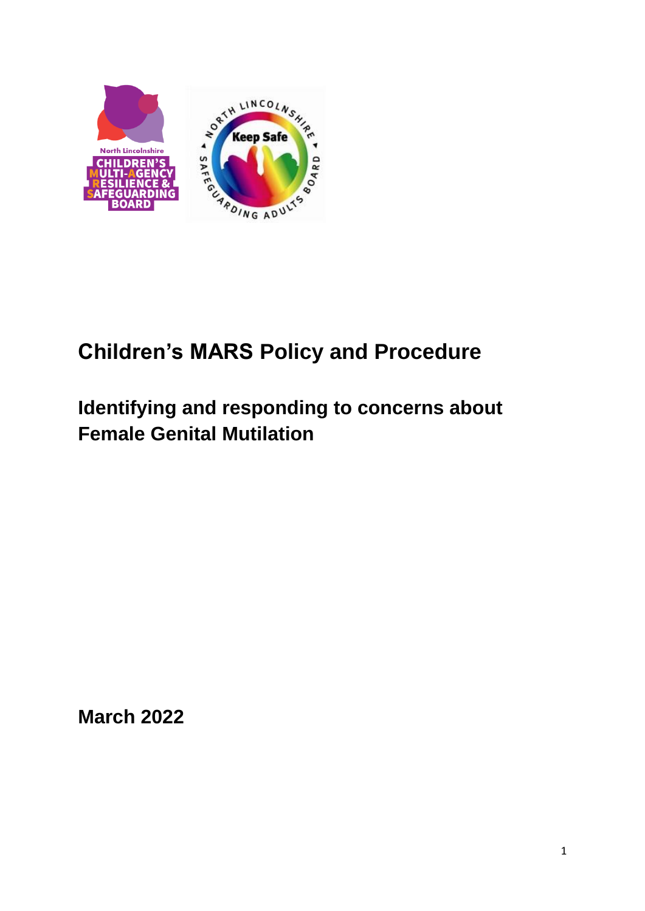

# **Children's MARS Policy and Procedure**

# **Identifying and responding to concerns about Female Genital Mutilation**

**March 2022**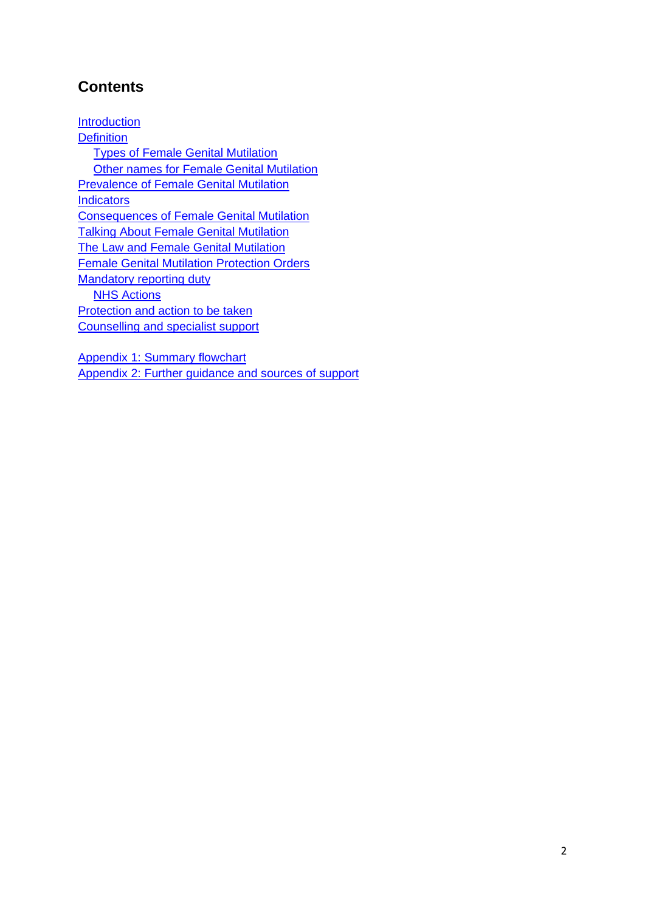# **Contents**

**[Introduction](#page-2-0) [Definition](#page-2-1)** [Types of Female Genital Mutilation](#page-3-0) [Other names for Female Genital Mutilation](#page-3-1) Prevalence [of Female Genital Mutilation](#page-4-0) **[Indicators](#page-5-0)** Consequences [of Female Genital Mutilation](#page-6-0) [Talking About Female Genital Mutilation](#page-7-0) [The Law and Female Genital Mutilation](#page-9-0) [Female Genital Mutilation Protection Orders](#page-11-0) [Mandatory reporting duty](#page-11-1) **[NHS Actions](#page-12-0)** [Protection and action](#page-13-0) to be taken [Counselling and specialist support](#page-14-0)

[Appendix 1: Summary flowchart](#page-15-0) [Appendix 2: Further guidance and sources of support](#page-16-0)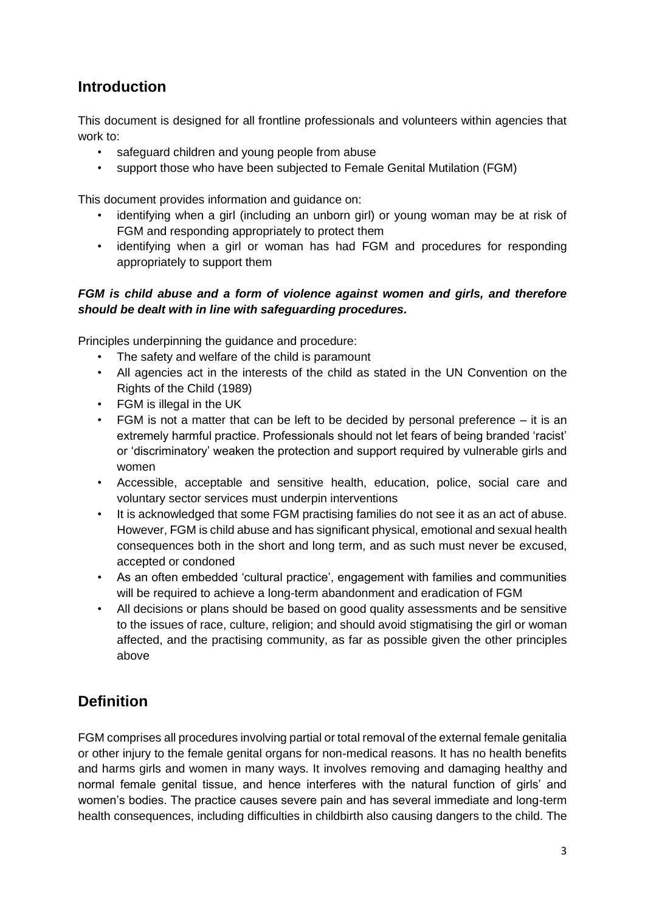# <span id="page-2-0"></span>**Introduction**

This document is designed for all frontline professionals and volunteers within agencies that work to:

- safeguard children and young people from abuse
- support those who have been subjected to Female Genital Mutilation (FGM)

This document provides information and guidance on:

- identifying when a girl (including an unborn girl) or young woman may be at risk of FGM and responding appropriately to protect them
- identifying when a girl or woman has had FGM and procedures for responding appropriately to support them

#### *FGM is child abuse and a form of violence against women and girls, and therefore should be dealt with in line with safeguarding procedures.*

Principles underpinning the guidance and procedure:

- The safety and welfare of the child is paramount
- All agencies act in the interests of the child as stated in the UN Convention on the Rights of the Child (1989)
- FGM is illegal in the UK
- FGM is not a matter that can be left to be decided by personal preference it is an extremely harmful practice. Professionals should not let fears of being branded 'racist' or 'discriminatory' weaken the protection and support required by vulnerable girls and women
- Accessible, acceptable and sensitive health, education, police, social care and voluntary sector services must underpin interventions
- It is acknowledged that some FGM practising families do not see it as an act of abuse. However, FGM is child abuse and has significant physical, emotional and sexual health consequences both in the short and long term, and as such must never be excused, accepted or condoned
- As an often embedded 'cultural practice', engagement with families and communities will be required to achieve a long-term abandonment and eradication of FGM
- All decisions or plans should be based on good quality assessments and be sensitive to the issues of race, culture, religion; and should avoid stigmatising the girl or woman affected, and the practising community, as far as possible given the other principles above

# <span id="page-2-1"></span>**Definition**

FGM comprises all procedures involving partial or total removal of the external female genitalia or other injury to the female genital organs for non-medical reasons. It has no health benefits and harms girls and women in many ways. It involves removing and damaging healthy and normal female genital tissue, and hence interferes with the natural function of girls' and women's bodies. The practice causes severe pain and has several immediate and long-term health consequences, including difficulties in childbirth also causing dangers to the child. The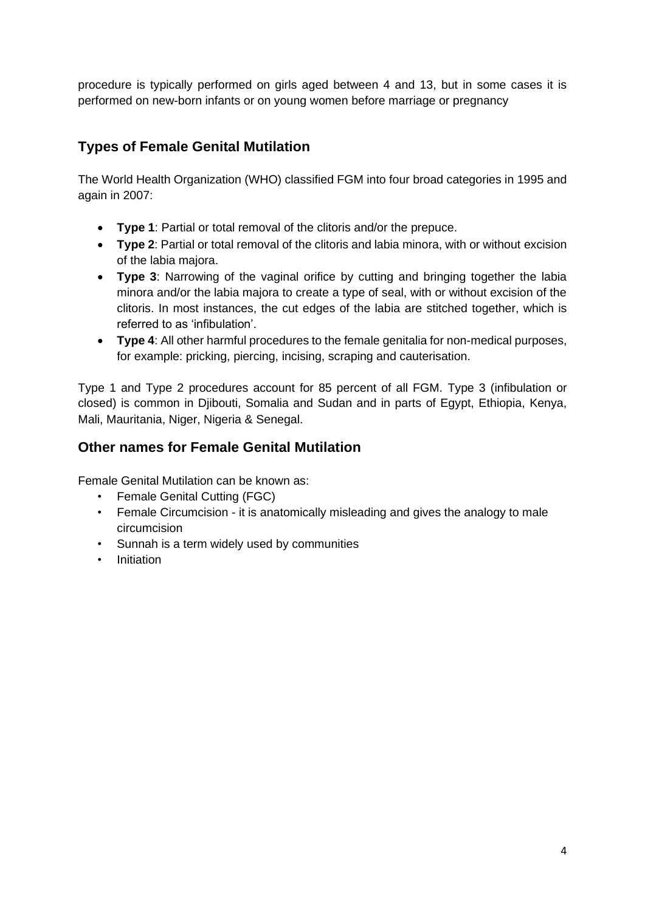procedure is typically performed on girls aged between 4 and 13, but in some cases it is performed on new-born infants or on young women before marriage or pregnancy

### <span id="page-3-0"></span>**Types of Female Genital Mutilation**

The World Health Organization (WHO) classified FGM into four broad categories in 1995 and again in 2007:

- **Type 1**: Partial or total removal of the clitoris and/or the prepuce.
- **Type 2**: Partial or total removal of the clitoris and labia minora, with or without excision of the labia majora.
- **Type 3**: Narrowing of the vaginal orifice by cutting and bringing together the labia minora and/or the labia majora to create a type of seal, with or without excision of the clitoris. In most instances, the cut edges of the labia are stitched together, which is referred to as 'infibulation'.
- **Type 4**: All other harmful procedures to the female genitalia for non-medical purposes, for example: pricking, piercing, incising, scraping and cauterisation.

Type 1 and Type 2 procedures account for 85 percent of all FGM. Type 3 (infibulation or closed) is common in Djibouti, Somalia and Sudan and in parts of Egypt, Ethiopia, Kenya, Mali, Mauritania, Niger, Nigeria & Senegal.

### <span id="page-3-1"></span>**Other names for Female Genital Mutilation**

Female Genital Mutilation can be known as:

- Female Genital Cutting (FGC)
- Female Circumcision it is anatomically misleading and gives the analogy to male circumcision
- Sunnah is a term widely used by communities
- Initiation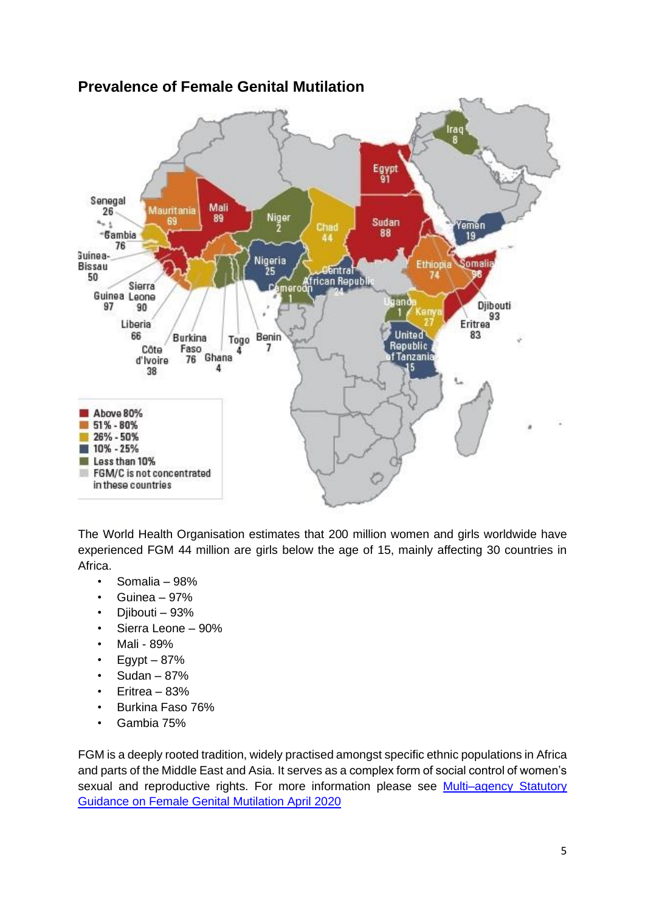

# <span id="page-4-0"></span>**Prevalence of Female Genital Mutilation**

The World Health Organisation estimates that 200 million women and girls worldwide have experienced FGM 44 million are girls below the age of 15, mainly affecting 30 countries in Africa.

- Somalia 98%
- Guinea 97%
- Diibouti 93%
- Sierra Leone 90%
- Mali 89%
- $\cdot$  Eqypt 87%
- $\cdot$  Sudan 87%
- Eritrea 83%
- Burkina Faso 76%
- Gambia 75%

FGM is a deeply rooted tradition, widely practised amongst specific ethnic populations in Africa and parts of the Middle East and Asia. It serves as a complex form of social control of women's sexual and reproductive rights. For more information please see Multi-agency Statutory [Guidance on Female Genital Mutilation April 202](https://www.gov.uk/government/publications/multi-agency-statutory-guidance-on-female-genital-mutilation)0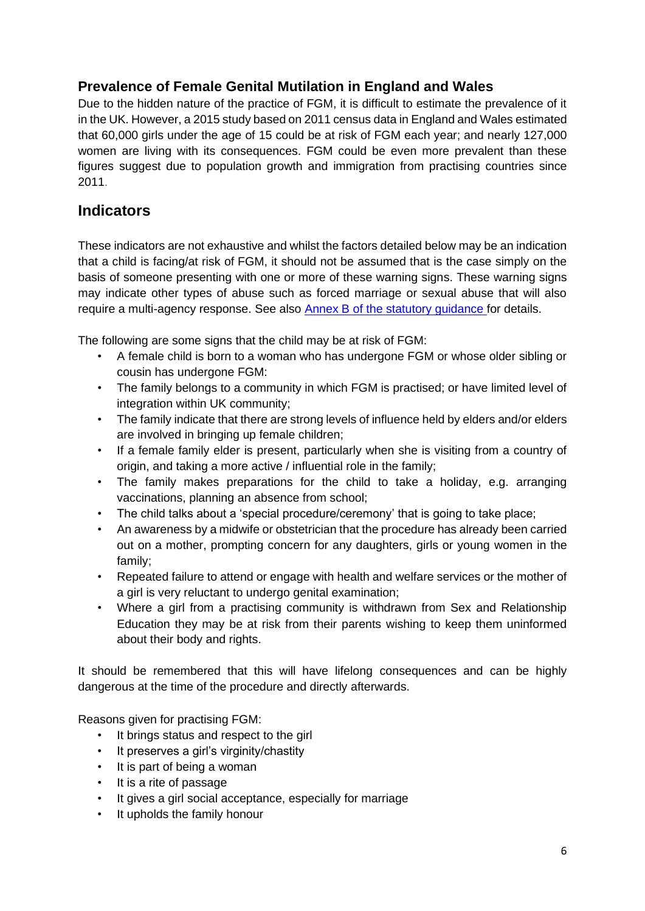### **Prevalence of Female Genital Mutilation in England and Wales**

Due to the hidden nature of the practice of FGM, it is difficult to estimate the prevalence of it in the UK. However, a 2015 study based on 2011 census data in England and Wales estimated that 60,000 girls under the age of 15 could be at risk of FGM each year; and nearly 127,000 women are living with its consequences. FGM could be even more prevalent than these figures suggest due to population growth and immigration from practising countries since 2011.

### <span id="page-5-0"></span>**Indicators**

These indicators are not exhaustive and whilst the factors detailed below may be an indication that a child is facing/at risk of FGM, it should not be assumed that is the case simply on the basis of someone presenting with one or more of these warning signs. These warning signs may indicate other types of abuse such as forced marriage or sexual abuse that will also require a multi-agency response. See also [Annex B of the statutory guidance](https://www.gov.uk/government/publications/multi-agency-statutory-guidance-on-female-genital-mutilation) for details.

The following are some signs that the child may be at risk of FGM:

- A female child is born to a woman who has undergone FGM or whose older sibling or cousin has undergone FGM:
- The family belongs to a community in which FGM is practised; or have limited level of integration within UK community;
- The family indicate that there are strong levels of influence held by elders and/or elders are involved in bringing up female children;
- If a female family elder is present, particularly when she is visiting from a country of origin, and taking a more active / influential role in the family;
- The family makes preparations for the child to take a holiday, e.g. arranging vaccinations, planning an absence from school;
- The child talks about a 'special procedure/ceremony' that is going to take place;
- An awareness by a midwife or obstetrician that the procedure has already been carried out on a mother, prompting concern for any daughters, girls or young women in the family;
- Repeated failure to attend or engage with health and welfare services or the mother of a girl is very reluctant to undergo genital examination;
- Where a girl from a practising community is withdrawn from Sex and Relationship Education they may be at risk from their parents wishing to keep them uninformed about their body and rights.

It should be remembered that this will have lifelong consequences and can be highly dangerous at the time of the procedure and directly afterwards.

Reasons given for practising FGM:

- It brings status and respect to the girl
- It preserves a girl's virginity/chastity
- It is part of being a woman
- It is a rite of passage
- It gives a girl social acceptance, especially for marriage
- It upholds the family honour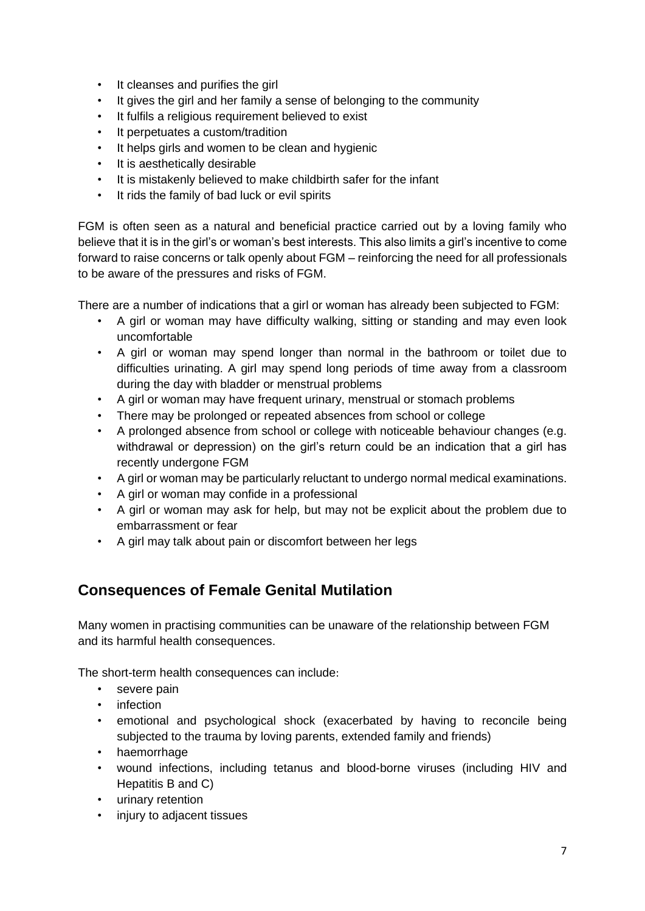- It cleanses and purifies the girl
- It gives the girl and her family a sense of belonging to the community
- It fulfils a religious requirement believed to exist
- It perpetuates a custom/tradition
- It helps girls and women to be clean and hygienic
- It is aesthetically desirable
- It is mistakenly believed to make childbirth safer for the infant
- It rids the family of bad luck or evil spirits

FGM is often seen as a natural and beneficial practice carried out by a loving family who believe that it is in the girl's or woman's best interests. This also limits a girl's incentive to come forward to raise concerns or talk openly about FGM – reinforcing the need for all professionals to be aware of the pressures and risks of FGM.

There are a number of indications that a girl or woman has already been subjected to FGM:

- A girl or woman may have difficulty walking, sitting or standing and may even look uncomfortable
- A girl or woman may spend longer than normal in the bathroom or toilet due to difficulties urinating. A girl may spend long periods of time away from a classroom during the day with bladder or menstrual problems
- A girl or woman may have frequent urinary, menstrual or stomach problems
- There may be prolonged or repeated absences from school or college
- A prolonged absence from school or college with noticeable behaviour changes (e.g. withdrawal or depression) on the girl's return could be an indication that a girl has recently undergone FGM
- A girl or woman may be particularly reluctant to undergo normal medical examinations.
- A girl or woman may confide in a professional
- A girl or woman may ask for help, but may not be explicit about the problem due to embarrassment or fear
- A girl may talk about pain or discomfort between her legs

### <span id="page-6-0"></span>**Consequences of Female Genital Mutilation**

Many women in practising communities can be unaware of the relationship between FGM and its harmful health consequences.

The short-term health consequences can include:

- severe pain
- infection
- emotional and psychological shock (exacerbated by having to reconcile being subjected to the trauma by loving parents, extended family and friends)
- haemorrhage
- wound infections, including tetanus and blood-borne viruses (including HIV and Hepatitis B and C)
- urinary retention
- injury to adjacent tissues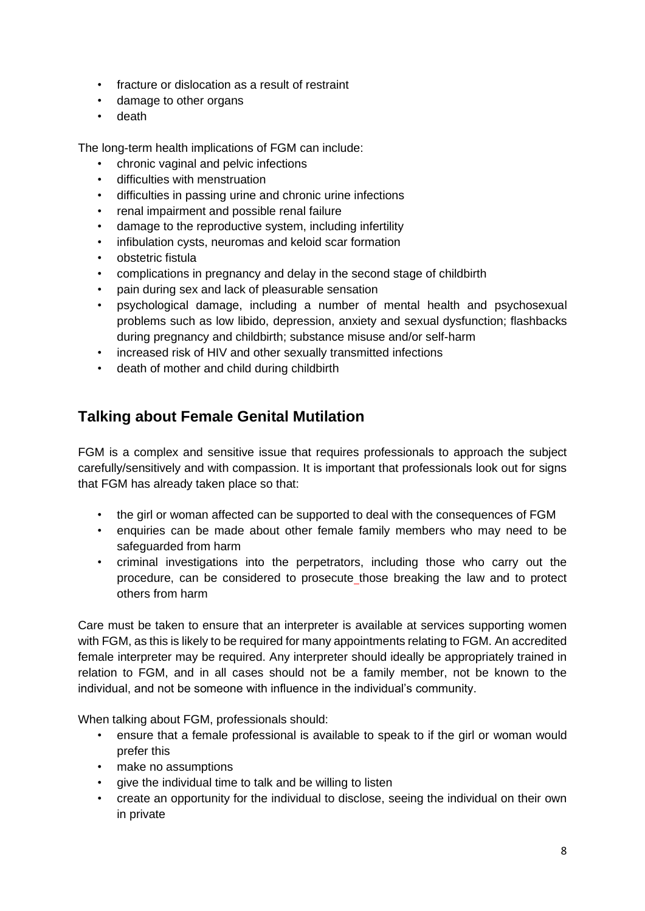- fracture or dislocation as a result of restraint
- damage to other organs
- death

The long-term health implications of FGM can include:

- chronic vaginal and pelvic infections
- difficulties with menstruation
- difficulties in passing urine and chronic urine infections
- renal impairment and possible renal failure
- damage to the reproductive system, including infertility
- infibulation cysts, neuromas and keloid scar formation
- obstetric fistula
- complications in pregnancy and delay in the second stage of childbirth
- pain during sex and lack of pleasurable sensation
- psychological damage, including a number of mental health and psychosexual problems such as low libido, depression, anxiety and sexual dysfunction; flashbacks during pregnancy and childbirth; substance misuse and/or self-harm
- increased risk of HIV and other sexually transmitted infections
- death of mother and child during childbirth

# <span id="page-7-0"></span>**Talking about Female Genital Mutilation**

FGM is a complex and sensitive issue that requires professionals to approach the subject carefully/sensitively and with compassion. It is important that professionals look out for signs that FGM has already taken place so that:

- the girl or woman affected can be supported to deal with the consequences of FGM
- enquiries can be made about other female family members who may need to be safeguarded from harm
- criminal investigations into the perpetrators, including those who carry out the procedure, can be considered to prosecute those breaking the law and to protect others from harm

Care must be taken to ensure that an interpreter is available at services supporting women with FGM, as this is likely to be required for many appointments relating to FGM. An accredited female interpreter may be required. Any interpreter should ideally be appropriately trained in relation to FGM, and in all cases should not be a family member, not be known to the individual, and not be someone with influence in the individual's community.

When talking about FGM, professionals should:

- ensure that a female professional is available to speak to if the girl or woman would prefer this
- make no assumptions
- give the individual time to talk and be willing to listen
- create an opportunity for the individual to disclose, seeing the individual on their own in private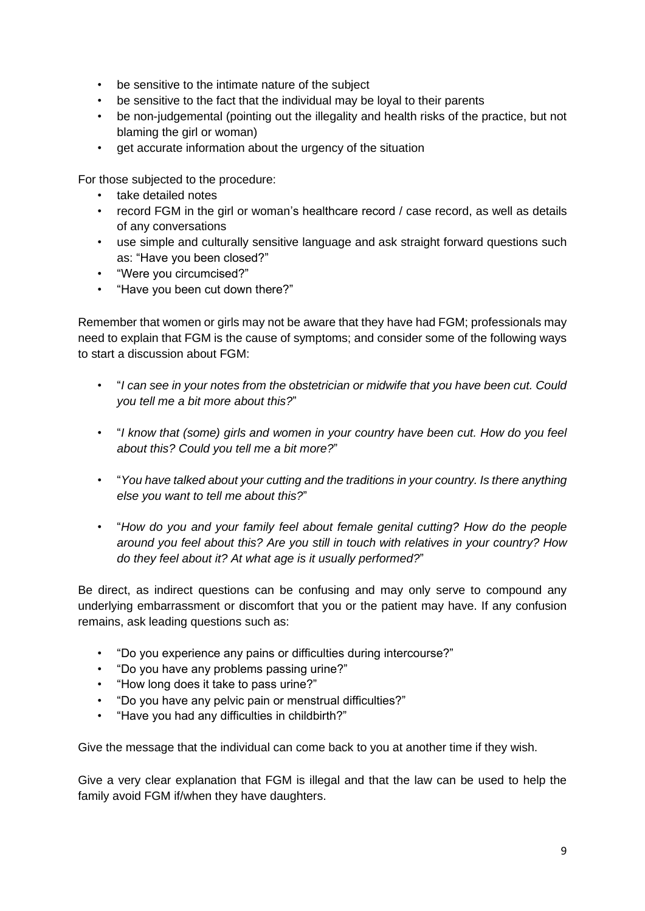- be sensitive to the intimate nature of the subject
- be sensitive to the fact that the individual may be loyal to their parents
- be non-judgemental (pointing out the illegality and health risks of the practice, but not blaming the girl or woman)
- get accurate information about the urgency of the situation

For those subjected to the procedure:

- take detailed notes
- record FGM in the girl or woman's healthcare record / case record, as well as details of any conversations
- use simple and culturally sensitive language and ask straight forward questions such as: "Have you been closed?"
- "Were you circumcised?"
- "Have you been cut down there?"

Remember that women or girls may not be aware that they have had FGM; professionals may need to explain that FGM is the cause of symptoms; and consider some of the following ways to start a discussion about FGM:

- "*I can see in your notes from the obstetrician or midwife that you have been cut. Could you tell me a bit more about this?*"
- "*I know that (some) girls and women in your country have been cut. How do you feel about this? Could you tell me a bit more?*"
- "*You have talked about your cutting and the traditions in your country. Is there anything else you want to tell me about this?*"
- "*How do you and your family feel about female genital cutting? How do the people around you feel about this? Are you still in touch with relatives in your country? How do they feel about it? At what age is it usually performed?*"

Be direct, as indirect questions can be confusing and may only serve to compound any underlying embarrassment or discomfort that you or the patient may have. If any confusion remains, ask leading questions such as:

- "Do you experience any pains or difficulties during intercourse?"
- "Do you have any problems passing urine?"
- "How long does it take to pass urine?"
- "Do you have any pelvic pain or menstrual difficulties?"
- "Have you had any difficulties in childbirth?"

Give the message that the individual can come back to you at another time if they wish.

Give a very clear explanation that FGM is illegal and that the law can be used to help the family avoid FGM if/when they have daughters.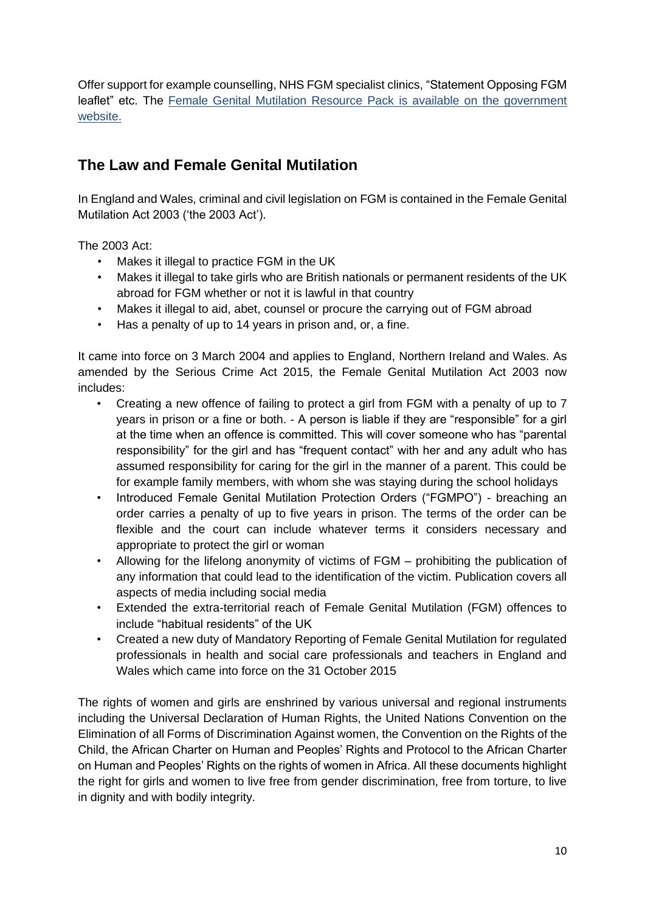Offer support for example counselling, NHS FGM specialist clinics, "Statement Opposing FGM leaflet" etc. The [Female Genital Mutilation Resource Pack](https://www.gov.uk/government/publications/female-genital-mutilation-resource-pack/female-genital-mutilation-resource-pack) is available on the government website.

# <span id="page-9-0"></span>**The Law and Female Genital Mutilation**

In England and Wales, criminal and civil legislation on FGM is contained in the Female Genital Mutilation Act 2003 ('the 2003 Act').

The 2003 Act:

- Makes it illegal to practice FGM in the UK
- Makes it illegal to take girls who are British nationals or permanent residents of the UK abroad for FGM whether or not it is lawful in that country
- Makes it illegal to aid, abet, counsel or procure the carrying out of FGM abroad
- Has a penalty of up to 14 years in prison and, or, a fine.

It came into force on 3 March 2004 and applies to England, Northern Ireland and Wales. As amended by the Serious Crime Act 2015, the Female Genital Mutilation Act 2003 now includes:

- Creating a new offence of failing to protect a girl from FGM with a penalty of up to 7 years in prison or a fine or both. - A person is liable if they are "responsible" for a girl at the time when an offence is committed. This will cover someone who has "parental responsibility" for the girl and has "frequent contact" with her and any adult who has assumed responsibility for caring for the girl in the manner of a parent. This could be for example family members, with whom she was staying during the school holidays
- Introduced Female Genital Mutilation Protection Orders ("FGMPO") breaching an order carries a penalty of up to five years in prison. The terms of the order can be flexible and the court can include whatever terms it considers necessary and appropriate to protect the girl or woman
- Allowing for the lifelong anonymity of victims of FGM prohibiting the publication of any information that could lead to the identification of the victim. Publication covers all aspects of media including social media
- Extended the extra-territorial reach of Female Genital Mutilation (FGM) offences to include "habitual residents" of the UK
- Created a new duty of Mandatory Reporting of Female Genital Mutilation for regulated professionals in health and social care professionals and teachers in England and Wales which came into force on the 31 October 2015

The rights of women and girls are enshrined by various universal and regional instruments including the Universal Declaration of Human Rights, the United Nations Convention on the Elimination of all Forms of Discrimination Against women, the Convention on the Rights of the Child, the African Charter on Human and Peoples' Rights and Protocol to the African Charter on Human and Peoples' Rights on the rights of women in Africa. All these documents highlight the right for girls and women to live free from gender discrimination, free from torture, to live in dignity and with bodily integrity.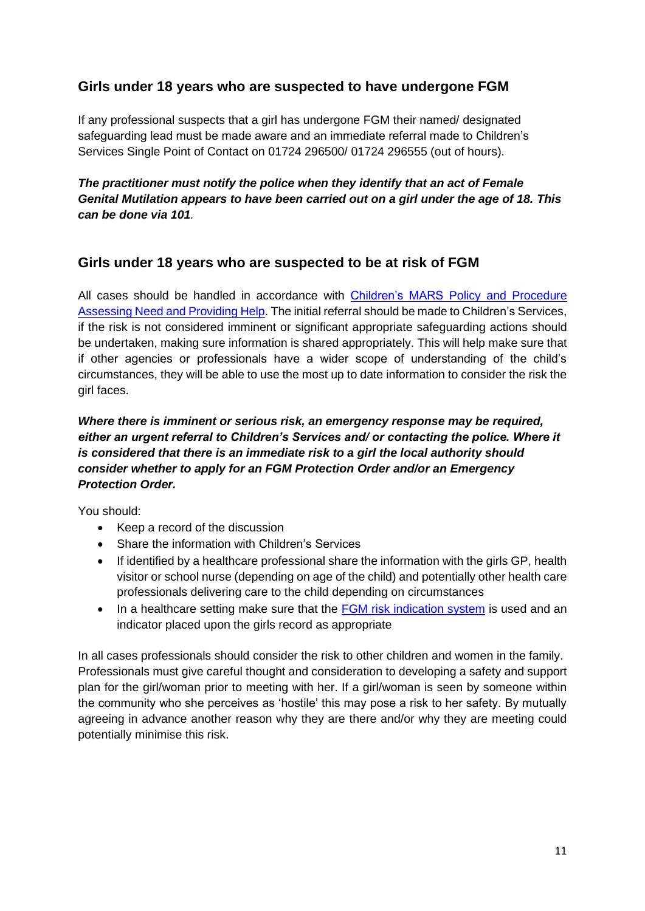### **Girls under 18 years who are suspected to have undergone FGM**

If any professional suspects that a girl has undergone FGM their named/ designated safeguarding lead must be made aware and an immediate referral made to Children's Services Single Point of Contact on 01724 296500/ 01724 296555 (out of hours).

*The practitioner must notify the police when they identify that an act of Female Genital Mutilation appears to have been carried out on a girl under the age of 18. This can be done via 101.*

#### **Girls under 18 years who are suspected to be at risk of FGM**

All cases should be handled in accordance with Children's MARS [Policy and Procedure](https://www.northlincscmars.co.uk/policies-procedures-and-guidance/)  [Assessing Need and Providing Help.](https://www.northlincscmars.co.uk/policies-procedures-and-guidance/) The initial referral should be made to Children's Services, if the risk is not considered imminent or significant appropriate safeguarding actions should be undertaken, making sure information is shared appropriately. This will help make sure that if other agencies or professionals have a wider scope of understanding of the child's circumstances, they will be able to use the most up to date information to consider the risk the girl faces.

#### *Where there is imminent or serious risk, an emergency response may be required, either an urgent referral to Children's Services and/ or contacting the police. Where it is considered that there is an immediate risk to a girl the local authority should consider whether to apply for an FGM Protection Order and/or an Emergency Protection Order.*

You should:

- Keep a record of the discussion
- Share the information with Children's Services
- If identified by a healthcare professional share the information with the girls GP, health visitor or school nurse (depending on age of the child) and potentially other health care professionals delivering care to the child depending on circumstances
- In a healthcare setting make sure that the **FGM risk indication system** is used and an indicator placed upon the girls record as appropriate

In all cases professionals should consider the risk to other children and women in the family. Professionals must give careful thought and consideration to developing a safety and support plan for the girl/woman prior to meeting with her. If a girl/woman is seen by someone within the community who she perceives as 'hostile' this may pose a risk to her safety. By mutually agreeing in advance another reason why they are there and/or why they are meeting could potentially minimise this risk.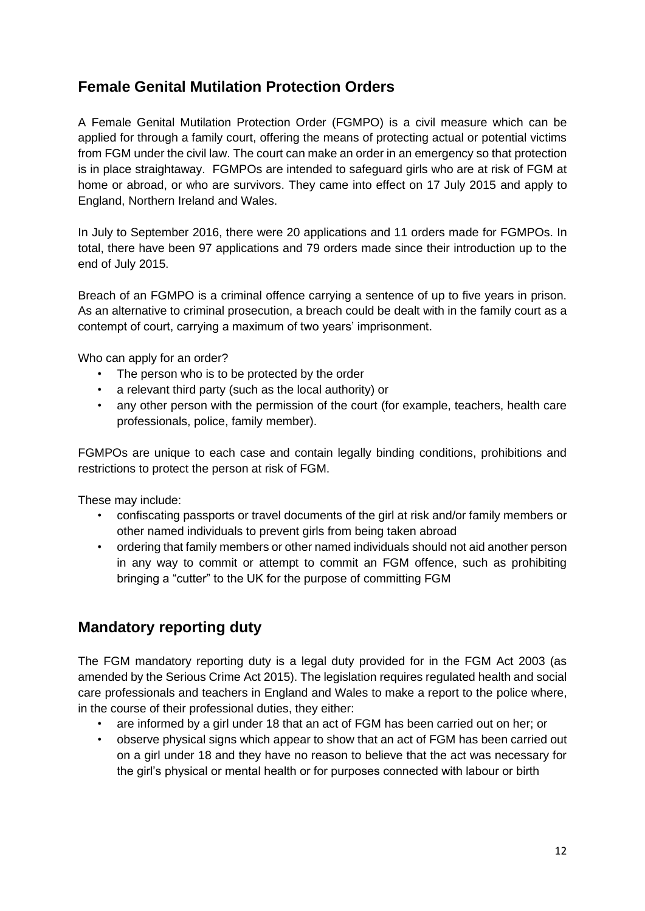### <span id="page-11-0"></span>**Female Genital Mutilation Protection Orders**

A Female Genital Mutilation Protection Order (FGMPO) is a civil measure which can be applied for through a family court, offering the means of protecting actual or potential victims from FGM under the civil law. The court can make an order in an emergency so that protection is in place straightaway. FGMPOs are intended to safeguard girls who are at risk of FGM at home or abroad, or who are survivors. They came into effect on 17 July 2015 and apply to England, Northern Ireland and Wales.

In July to September 2016, there were 20 applications and 11 orders made for FGMPOs. In total, there have been 97 applications and 79 orders made since their introduction up to the end of July 2015.

Breach of an FGMPO is a criminal offence carrying a sentence of up to five years in prison. As an alternative to criminal prosecution, a breach could be dealt with in the family court as a contempt of court, carrying a maximum of two years' imprisonment.

Who can apply for an order?

- The person who is to be protected by the order
- a relevant third party (such as the local authority) or
- any other person with the permission of the court (for example, teachers, health care professionals, police, family member).

FGMPOs are unique to each case and contain legally binding conditions, prohibitions and restrictions to protect the person at risk of FGM.

These may include:

- confiscating passports or travel documents of the girl at risk and/or family members or other named individuals to prevent girls from being taken abroad
- ordering that family members or other named individuals should not aid another person in any way to commit or attempt to commit an FGM offence, such as prohibiting bringing a "cutter" to the UK for the purpose of committing FGM

### <span id="page-11-1"></span>**Mandatory reporting duty**

The FGM mandatory reporting duty is a legal duty provided for in the FGM Act 2003 (as amended by the Serious Crime Act 2015). The legislation requires regulated health and social care professionals and teachers in England and Wales to make a report to the police where, in the course of their professional duties, they either:

- are informed by a girl under 18 that an act of FGM has been carried out on her; or
- observe physical signs which appear to show that an act of FGM has been carried out on a girl under 18 and they have no reason to believe that the act was necessary for the girl's physical or mental health or for purposes connected with labour or birth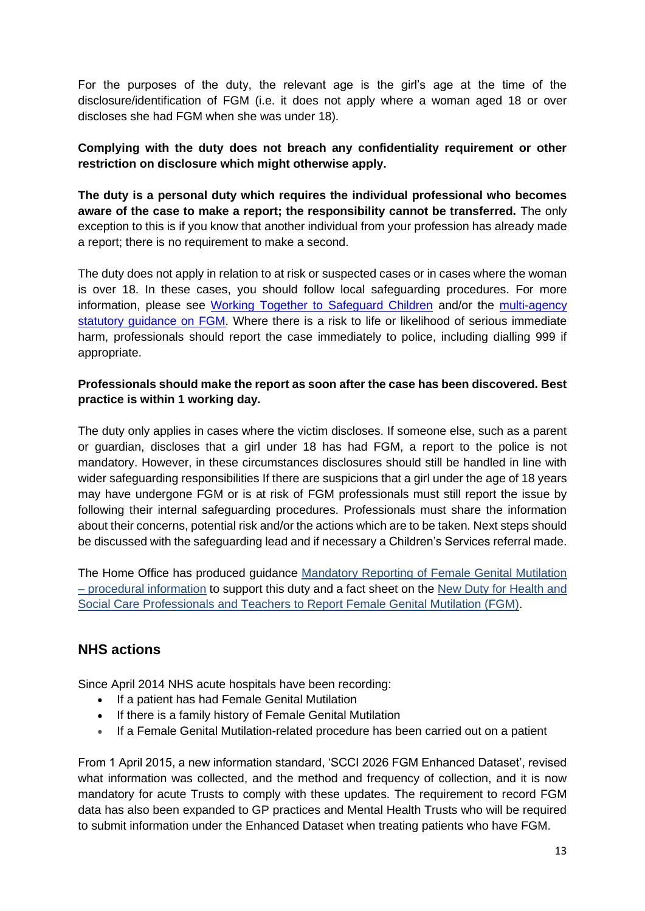For the purposes of the duty, the relevant age is the girl's age at the time of the disclosure/identification of FGM (i.e. it does not apply where a woman aged 18 or over discloses she had FGM when she was under 18).

#### **Complying with the duty does not breach any confidentiality requirement or other restriction on disclosure which might otherwise apply.**

**The duty is a personal duty which requires the individual professional who becomes aware of the case to make a report; the responsibility cannot be transferred.** The only exception to this is if you know that another individual from your profession has already made a report; there is no requirement to make a second.

The duty does not apply in relation to at risk or suspected cases or in cases where the woman is over 18. In these cases, you should follow local safeguarding procedures. For more information, please see [Working Together to Safeguard Children](https://www.gov.uk/government/publications/working-together-to-safeguard-children--2) and/or the multi-agency [statutory guidance on FGM.](https://www.gov.uk/government/publications/multi-agency-statutory-guidance-on-female-genital-mutilation) Where there is a risk to life or likelihood of serious immediate harm, professionals should report the case immediately to police, including dialling 999 if appropriate.

#### **Professionals should make the report as soon after the case has been discovered. Best practice is within 1 working day.**

The duty only applies in cases where the victim discloses. If someone else, such as a parent or guardian, discloses that a girl under 18 has had FGM, a report to the police is not mandatory. However, in these circumstances disclosures should still be handled in line with wider safeguarding responsibilities If there are suspicions that a girl under the age of 18 years may have undergone FGM or is at risk of FGM professionals must still report the issue by following their internal safeguarding procedures. Professionals must share the information about their concerns, potential risk and/or the actions which are to be taken. Next steps should be discussed with the safeguarding lead and if necessary a Children's Services referral made.

The Home Office has produced guidance [Mandatory Reporting of Female Genital Mutilation](https://www.gov.uk/government/publications/mandatory-reporting-of-female-genital-mutilation-procedural-information)  – [procedural information](https://www.gov.uk/government/publications/mandatory-reporting-of-female-genital-mutilation-procedural-information) to support this duty and a fact sheet on the [New Duty for Health and](https://www.gov.uk/government/publications/fact-sheet-on-mandatory-reporting-of-female-genital-mutilation)  [Social Care Professionals and Teachers to Report Female Genital Mutilation \(FGM\)](https://www.gov.uk/government/publications/fact-sheet-on-mandatory-reporting-of-female-genital-mutilation).

### <span id="page-12-0"></span>**NHS actions**

Since April 2014 NHS acute hospitals have been recording:

- If a patient has had Female Genital Mutilation
- If there is a family history of Female Genital Mutilation
- If a Female Genital Mutilation-related procedure has been carried out on a patient

From 1 April 2015, a new information standard, 'SCCI 2026 FGM Enhanced Dataset', revised what information was collected, and the method and frequency of collection, and it is now mandatory for acute Trusts to comply with these updates. The requirement to record FGM data has also been expanded to GP practices and Mental Health Trusts who will be required to submit information under the Enhanced Dataset when treating patients who have FGM.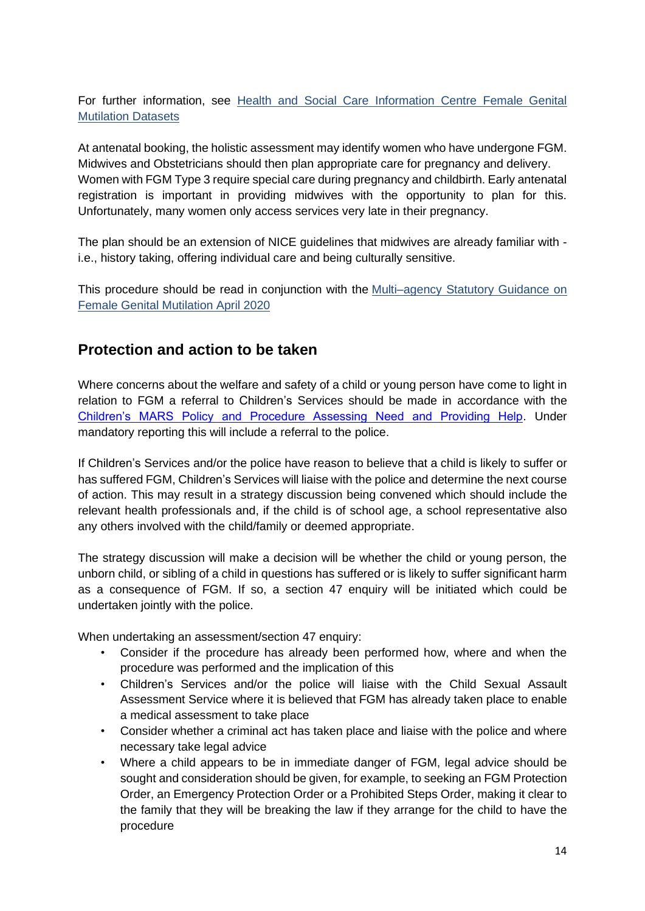For further information, see Health and Social Care Information Centre Female Genital [Mutilation Datasets](http://www.hscic.gov.uk/fgm)

At antenatal booking, the holistic assessment may identify women who have undergone FGM. Midwives and Obstetricians should then plan appropriate care for pregnancy and delivery. Women with FGM Type 3 require special care during pregnancy and childbirth. Early antenatal registration is important in providing midwives with the opportunity to plan for this. Unfortunately, many women only access services very late in their pregnancy.

The plan should be an extension of NICE guidelines that midwives are already familiar with i.e., history taking, offering individual care and being culturally sensitive.

This procedure should be read in conjunction with the [Multi–agency Statutory Guidance on](https://www.gov.uk/government/publications/multi-agency-statutory-guidance-on-female-genital-mutilation)  [Female Genital Mutilation April 2020](https://www.gov.uk/government/publications/multi-agency-statutory-guidance-on-female-genital-mutilation)

# <span id="page-13-0"></span>**Protection and action to be taken**

Where concerns about the welfare and safety of a child or young person have come to light in relation to FGM a referral to Children's Services should be made in accordance with the [Children's MARS Policy and Procedure Assessing Need and Providing Help.](https://www.northlincscmars.co.uk/policies-procedures-and-guidance/) Under mandatory reporting this will include a referral to the police.

If Children's Services and/or the police have reason to believe that a child is likely to suffer or has suffered FGM, Children's Services will liaise with the police and determine the next course of action. This may result in a strategy discussion being convened which should include the relevant health professionals and, if the child is of school age, a school representative also any others involved with the child/family or deemed appropriate.

The strategy discussion will make a decision will be whether the child or young person, the unborn child, or sibling of a child in questions has suffered or is likely to suffer significant harm as a consequence of FGM. If so, a section 47 enquiry will be initiated which could be undertaken jointly with the police.

When undertaking an assessment/section 47 enquiry:

- Consider if the procedure has already been performed how, where and when the procedure was performed and the implication of this
- Children's Services and/or the police will liaise with the Child Sexual Assault Assessment Service where it is believed that FGM has already taken place to enable a [medical assessment](http://www.proceduresonline.com/resources/keywords_online/nat_key/keywords/medical_assessment.html) to take place
- Consider whether a criminal act has taken place and liaise with the police and where necessary take legal advice
- Where a child appears to be in immediate danger of FGM, legal advice should be sought and consideration should be given, for example, to seeking an FGM Protection Order, an Emergency Protection Order or a Prohibited Steps Order, making it clear to the family that they will be breaking the law if they arrange for the child to have the procedure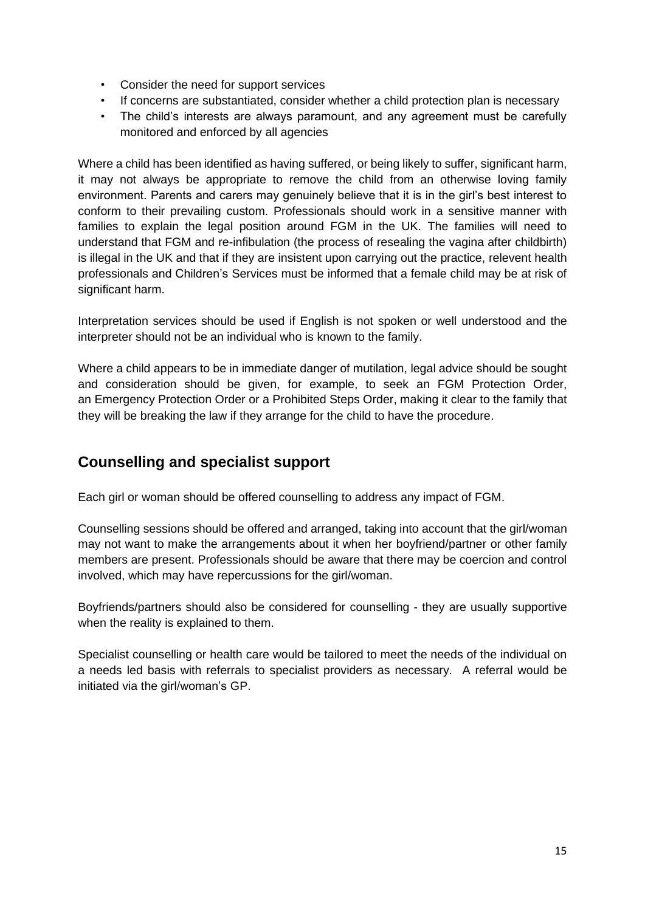- Consider the need for support services
- If concerns are substantiated, consider whether a child protection plan is necessary
- The child's interests are always paramount, and any agreement must be carefully monitored and enforced by all agencies

Where a child has been identified as having suffered, or being likely to suffer, significant harm, it may not always be appropriate to remove the child from an otherwise loving family environment. Parents and carers may genuinely believe that it is in the girl's best interest to conform to their prevailing custom. Professionals should work in a sensitive manner with families to explain the legal position around FGM in the UK. The families will need to understand that FGM and re-infibulation (the process of resealing the vagina after childbirth) is illegal in the UK and that if they are insistent upon carrying out the practice, relevent health professionals and Children's Services must be informed that a female child may be at risk of significant harm.

Interpretation services should be used if English is not spoken or well understood and the interpreter should not be an individual who is known to the family.

Where a child appears to be in immediate danger of mutilation, legal advice should be sought and consideration should be given, for example, to seek an FGM Protection Order, an Emergency Protection Order or a Prohibited Steps Order, making it clear to the family that they will be breaking the law if they arrange for the child to have the procedure.

### <span id="page-14-0"></span>**Counselling and specialist support**

Each girl or woman should be offered counselling to address any impact of FGM.

Counselling sessions should be offered and arranged, taking into account that the girl/woman may not want to make the arrangements about it when her boyfriend/partner or other family members are present. Professionals should be aware that there may be coercion and control involved, which may have repercussions for the girl/woman.

Boyfriends/partners should also be considered for counselling - they are usually supportive when the reality is explained to them.

Specialist counselling or health care would be tailored to meet the needs of the individual on a needs led basis with referrals to specialist providers as necessary. A referral would be initiated via the girl/woman's GP.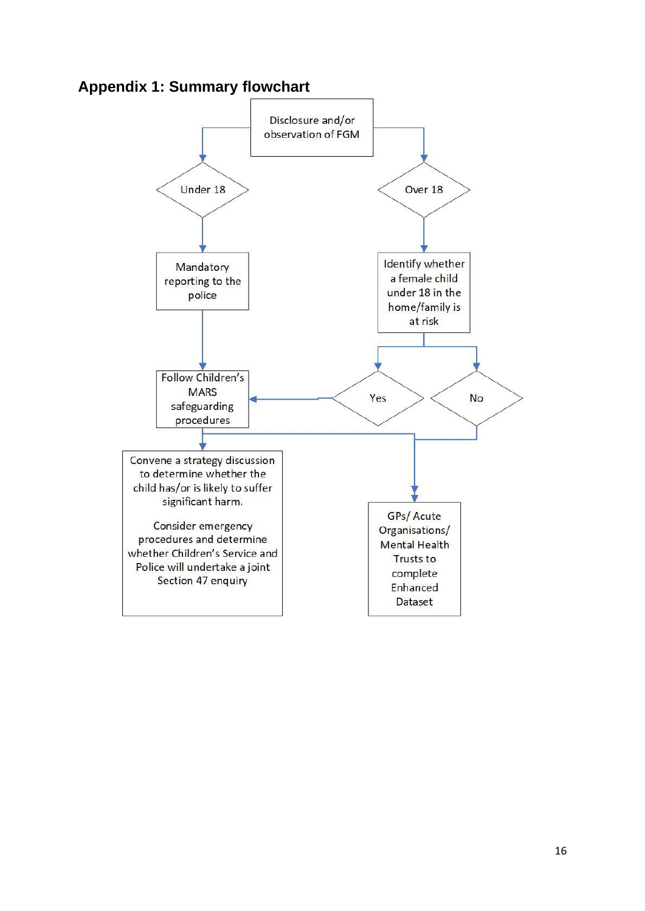<span id="page-15-0"></span>

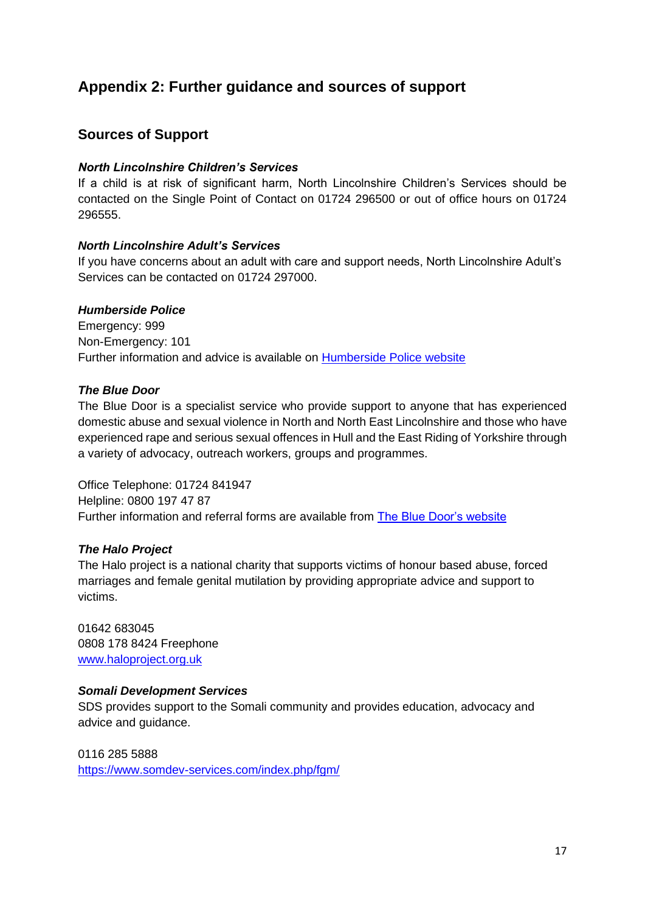# <span id="page-16-0"></span>**Appendix 2: Further guidance and sources of support**

#### **Sources of Support**

#### *North Lincolnshire Children's Services*

If a child is at risk of significant harm, North Lincolnshire Children's Services should be contacted on the Single Point of Contact on 01724 296500 or out of office hours on 01724 296555.

#### *North Lincolnshire Adult's Services*

If you have concerns about an adult with care and support needs, North Lincolnshire Adult's Services can be contacted on 01724 297000.

#### *Humberside Police*

Emergency: 999 Non-Emergency: 101 Further information and advice is available on [Humberside Police website](https://www.humberside.police.uk/female-genital-mutilation-fgm)

#### *The Blue Door*

The Blue Door is a specialist service who provide support to anyone that has experienced domestic abuse and sexual violence in North and North East Lincolnshire and those who have experienced rape and serious sexual offences in Hull and the East Riding of Yorkshire through a variety of advocacy, outreach workers, groups and programmes.

Office Telephone: 01724 841947 Helpline: 0800 197 47 87 Further information and referral forms are available from [The Blue Door's website](https://www.thebluedoor.org/how-do-i-make-a-referral/)

#### *The Halo Project*

The Halo project is a national charity that supports victims of honour based abuse, forced marriages and female genital mutilation by providing appropriate advice and support to victims.

01642 683045 0808 178 8424 Freephone [www.haloproject.org.uk](http://www.haloproject.org.uk/)

#### *Somali Development Services*

SDS provides support to the Somali community and provides education, advocacy and advice and guidance.

0116 285 5888 <https://www.somdev-services.com/index.php/fgm/>